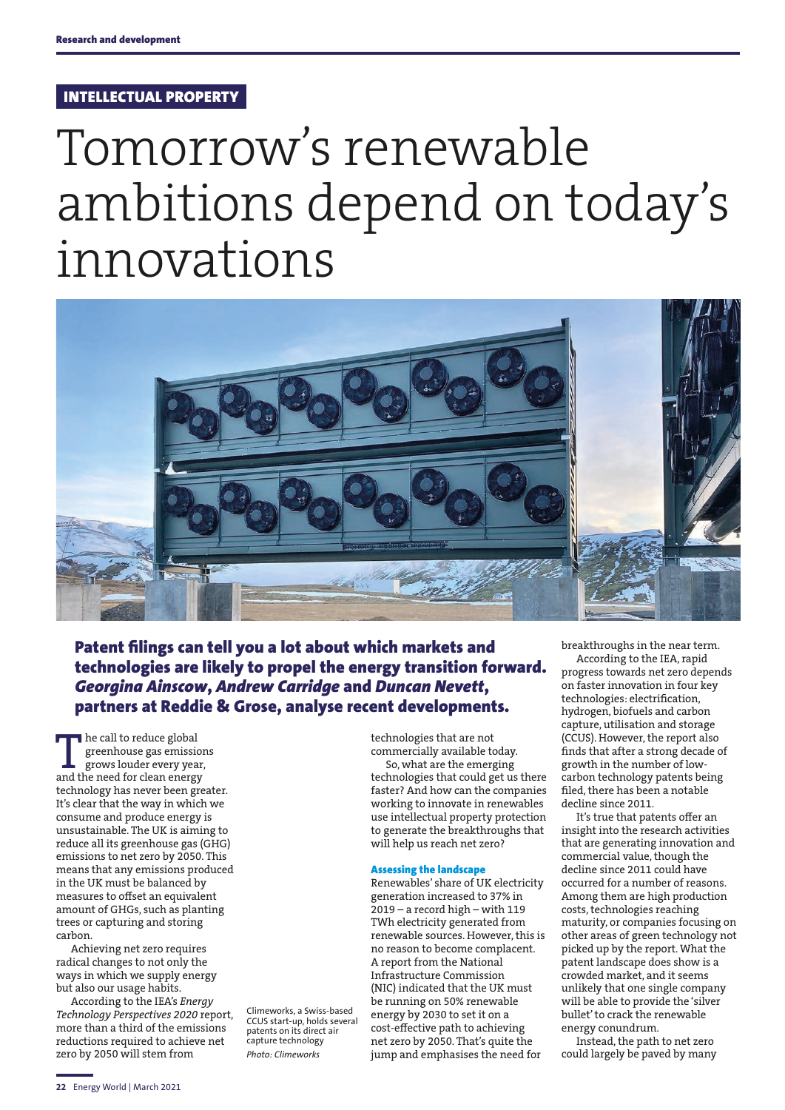## INTELLECTUAL PROPERTY

# Tomorrow's renewable ambitions depend on today's innovations



Patent filings can tell you a lot about which markets and technologies are likely to propel the energy transition forward. *Georgina Ainscow*, *Andrew Carridge* and *Duncan Nevett*, partners at Reddie & Grose, analyse recent developments.

The call to reduce global greenhouse gas emissions grows louder every year, and the need for clean energy technology has never been greater. It's clear that the way in which we consume and produce energy is unsustainable. The UK is aiming to reduce all its greenhouse gas (GHG) emissions to net zero by 2050. This means that any emissions produced in the UK must be balanced by measures to offset an equivalent amount of GHGs, such as planting trees or capturing and storing carbon.

Achieving net zero requires radical changes to not only the ways in which we supply energy but also our usage habits.

According to the IEA's *Energy Technology Perspectives 2020* report, more than a third of the emissions reductions required to achieve net zero by 2050 will stem from

Climeworks, a Swiss-based CCUS start-up, holds several patents on its direct air capture technology *Photo: Climeworks*

technologies that are not commercially available today. So, what are the emerging technologies that could get us there faster? And how can the companies working to innovate in renewables use intellectual property protection to generate the breakthroughs that will help us reach net zero?

#### Assessing the landscape

Renewables' share of UK electricity generation increased to 37% in 2019 – a record high – with 119 TWh electricity generated from renewable sources. However, this is no reason to become complacent. A report from the National Infrastructure Commission (NIC) indicated that the UK must be running on 50% renewable energy by 2030 to set it on a cost-effective path to achieving net zero by 2050. That's quite the jump and emphasises the need for

breakthroughs in the near term.

According to the IEA, rapid progress towards net zero depends on faster innovation in four key technologies: electrification, hydrogen, biofuels and carbon capture, utilisation and storage (CCUS). However, the report also finds that after a strong decade of growth in the number of lowcarbon technology patents being filed, there has been a notable decline since 2011.

It's true that patents offer an insight into the research activities that are generating innovation and commercial value, though the decline since 2011 could have occurred for a number of reasons. Among them are high production costs, technologies reaching maturity, or companies focusing on other areas of green technology not picked up by the report. What the patent landscape does show is a crowded market, and it seems unlikely that one single company will be able to provide the 'silver bullet' to crack the renewable energy conundrum.

Instead, the path to net zero could largely be paved by many